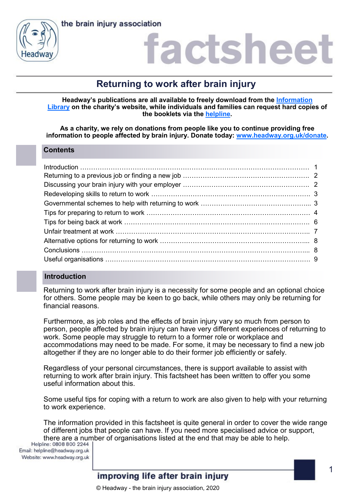



### actshee

### **Returning to work after brain injury**

**Headway's publications are all available to freely download from the [Information](https://www.headway.org.uk/about-brain-injury/individuals/information-library/)  [Library](https://www.headway.org.uk/about-brain-injury/individuals/information-library/) on the charity's website, while individuals and families can request hard copies of the booklets via the [helpline.](https://www.headway.org.uk/supporting-you/helpline/)**

**As a charity, we rely on donations from people like you to continue providing free information to people affected by brain injury. Donate today: [www.headway.org.uk/donate.](http://www.headway.org.uk/donate)**

#### **Contents**

### **Introduction**

Returning to work after brain injury is a necessity for some people and an optional choice for others. Some people may be keen to go back, while others may only be returning for financial reasons.

Furthermore, as job roles and the effects of brain injury vary so much from person to person, people affected by brain injury can have very different experiences of returning to work. Some people may struggle to return to a former role or workplace and accommodations may need to be made. For some, it may be necessary to find a new job altogether if they are no longer able to do their former job efficiently or safely.

Regardless of your personal circumstances, there is support available to assist with returning to work after brain injury. This factsheet has been written to offer you some useful information about this.

Some useful tips for coping with a return to work are also given to help with your returning to work experience.

The information provided in this factsheet is quite general in order to cover the wide range of different jobs that people can have. If you need more specialised advice or support, there are a number of organisations listed at the end that may be able to help.<br>Helpline: 0808 800 2244 |

Email: helpline@headway.org.uk Website: www.headway.org.uk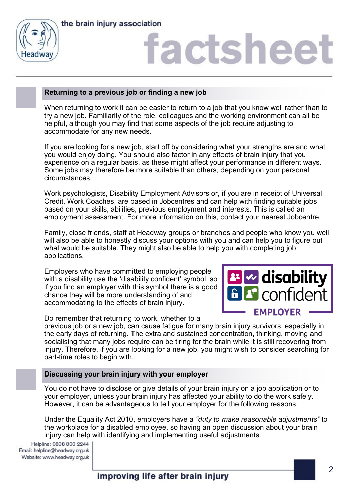



### **Returning to a previous job or finding a new job**

When returning to work it can be easier to return to a job that you know well rather than to try a new job. Familiarity of the role, colleagues and the working environment can all be helpful, although you may find that some aspects of the job require adjusting to accommodate for any new needs.

If you are looking for a new job, start off by considering what your strengths are and what you would enjoy doing. You should also factor in any effects of brain injury that you experience on a regular basis, as these might affect your performance in different ways. Some jobs may therefore be more suitable than others, depending on your personal circumstances.

Work psychologists, Disability Employment Advisors or, if you are in receipt of Universal Credit, Work Coaches, are based in Jobcentres and can help with finding suitable jobs based on your skills, abilities, previous employment and interests. This is called an employment assessment. For more information on this, contact your nearest Jobcentre.

Family, close friends, staff at Headway groups or branches and people who know you well will also be able to honestly discuss your options with you and can help you to figure out what would be suitable. They might also be able to help you with completing job applications.

Employers who have committed to employing people with a disability use the 'disability confident' symbol, so if you find an employer with this symbol there is a good chance they will be more understanding of and accommodating to the effects of brain injury.



Do remember that returning to work, whether to a

previous job or a new job, can cause fatigue for many brain injury survivors, especially in the early days of returning. The extra and sustained concentration, thinking, moving and socialising that many jobs require can be tiring for the brain while it is still recovering from injury. Therefore, if you are looking for a new job, you might wish to consider searching for part-time roles to begin with.

#### **Discussing your brain injury with your employer**

You do not have to disclose or give details of your brain injury on a job application or to your employer, unless your brain injury has affected your ability to do the work safely. However, it can be advantageous to tell your employer for the following reasons.

Under the Equality Act 2010, employers have a *"duty to make reasonable adjustments"* to the workplace for a disabled employee, so having an open discussion about your brain injury can help with identifying and implementing useful adjustments.

Helpline: 0808 800 2244 Email: helpline@headway.org.uk Website: www.headway.org.uk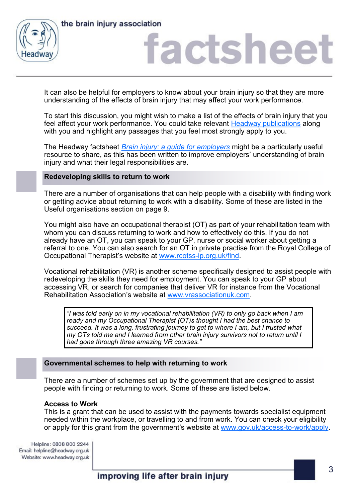



It can also be helpful for employers to know about your brain injury so that they are more understanding of the effects of brain injury that may affect your work performance.

To start this discussion, you might wish to make a list of the effects of brain injury that you feel affect your work performance. You could take relevant [Headway publications](http://www.headway.org.uk/information-library) along with you and highlight any passages that you feel most strongly apply to you.

The Headway factsheet *[Brain injury: a guide for employers](https://www.headway.org.uk/media/4123/brain-injury-a-guide-for-employers.pdf)* might be a particularly useful resource to share, as this has been written to improve employers' understanding of brain injury and what their legal responsibilities are.

#### **Redeveloping skills to return to work**

There are a number of organisations that can help people with a disability with finding work or getting advice about returning to work with a disability. Some of these are listed in the Useful organisations section on page 9.

You might also have an occupational therapist (OT) as part of your rehabilitation team with whom you can discuss returning to work and how to effectively do this. If you do not already have an OT, you can speak to your GP, nurse or social worker about getting a referral to one. You can also search for an OT in private practise from the Royal College of Occupational Therapist's website at www.rcotss-[ip.org.uk/find.](http://www.rcotss-ip.org.uk/find)

Vocational rehabilitation (VR) is another scheme specifically designed to assist people with redeveloping the skills they need for employment. You can speak to your GP about accessing VR, or search for companies that deliver VR for instance from the Vocational Rehabilitation Association's website at [www.vrassociationuk.com.](http://www.vrassociationuk.com)

*"I was told early on in my vocational rehabilitation (VR) to only go back when I am ready and my Occupational Therapist (OT)s thought I had the best chance to succeed. It was a long, frustrating journey to get to where I am, but I trusted what my OTs told me and I learned from other brain injury survivors not to return until I had gone through three amazing VR courses."*

#### **Governmental schemes to help with returning to work**

There are a number of schemes set up by the government that are designed to assist people with finding or returning to work. Some of these are listed below.

#### **Access to Work**

This is a grant that can be used to assist with the payments towards specialist equipment needed within the workplace, or travelling to and from work. You can check your eligibility or apply for this grant from the government's website at [www.gov.uk/access](http://www.gov.uk/access-to-work/apply)-to-work/apply.

Helpline: 0808 800 2244 Email: helpline@headway.org.uk Website: www.headway.org.uk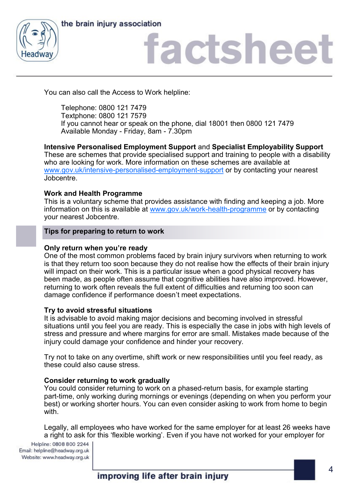



You can also call the Access to Work helpline:

Telephone: 0800 121 7479 Textphone: 0800 121 7579 If you cannot hear or speak on the phone, dial 18001 then 0800 121 7479 Available Monday - Friday, 8am - 7.30pm

**Intensive Personalised Employment Support** and **Specialist Employability Support** These are schemes that provide specialised support and training to people with a disability who are looking for work. More information on these schemes are available at [www.gov.uk/intensive](http://www.gov.uk/intensive-personalised-employment-support)-personalised-employment-support or by contacting your nearest Jobcentre.

### **Work and Health Programme**

This is a voluntary scheme that provides assistance with finding and keeping a job. More information on this is available at [www.gov.uk/work](http://www.gov.uk/work-health-programme)-health-programme or by contacting your nearest Jobcentre.

### **Tips for preparing to return to work**

### **Only return when you're ready**

One of the most common problems faced by brain injury survivors when returning to work is that they return too soon because they do not realise how the effects of their brain injury will impact on their work. This is a particular issue when a good physical recovery has been made, as people often assume that cognitive abilities have also improved. However, returning to work often reveals the full extent of difficulties and returning too soon can damage confidence if performance doesn't meet expectations.

### **Try to avoid stressful situations**

It is advisable to avoid making major decisions and becoming involved in stressful situations until you feel you are ready. This is especially the case in jobs with high levels of stress and pressure and where margins for error are small. Mistakes made because of the injury could damage your confidence and hinder your recovery.

Try not to take on any overtime, shift work or new responsibilities until you feel ready, as these could also cause stress.

### **Consider returning to work gradually**

You could consider returning to work on a phased-return basis, for example starting part-time, only working during mornings or evenings (depending on when you perform your best) or working shorter hours. You can even consider asking to work from home to begin with.

Legally, all employees who have worked for the same employer for at least 26 weeks have a right to ask for this 'flexible working'. Even if you have not worked for your employer for

Helpline: 0808 800 2244 Email: helpline@headway.org.uk Website: www.headway.org.uk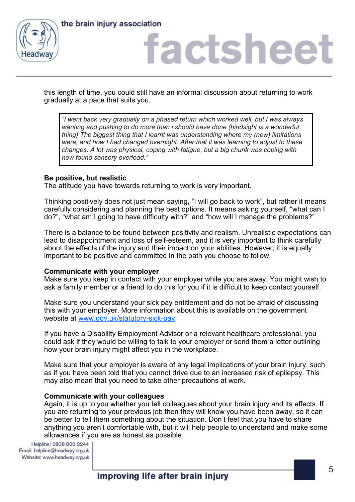



this length of time, you could still have an informal discussion about returning to work gradually at a pace that suits you.

*"I went back very gradually on a phased return which worked well, but I was always wanting and pushing to do more than i should have done (hindsight is a wonderful thing) The biggest thing that I learnt was understanding where my (new) limitations were, and how I had changed overnight. After that it was learning to adjust to these changes. A lot was physical, coping with fatigue, but a big chunk was coping with new found sensory overload."*

#### **Be positive, but realistic**

The attitude you have towards returning to work is very important.

Thinking positively does not just mean saying, "I will go back to work", but rather it means carefully considering and planning the best options. It means asking yourself, "what can I do?", "what am I going to have difficulty with?" and "how will I manage the problems?"

There is a balance to be found between positivity and realism. Unrealistic expectations can lead to disappointment and loss of self-esteem, and it is very important to think carefully about the effects of the injury and their impact on your abilities. However, it is equally important to be positive and committed in the path you choose to follow.

### **Communicate with your employer**

Make sure you keep in contact with your employer while you are away. You might wish to ask a family member or a friend to do this for you if it is difficult to keep contact yourself.

Make sure you understand your sick pay entitlement and do not be afraid of discussing this with your employer. More information about this is available on the government website at [www.gov.uk/statutory](https://www.gov.uk/statutory-sick-pay)-sick-pay.

If you have a Disability Employment Advisor or a relevant healthcare professional, you could ask if they would be willing to talk to your employer or send them a letter outlining how your brain injury might affect you in the workplace.

Make sure that your employer is aware of any legal implications of your brain injury, such as if you have been told that you cannot drive due to an increased risk of epilepsy. This may also mean that you need to take other precautions at work.

#### **Communicate with your colleagues**

Again, it is up to you whether you tell colleagues about your brain injury and its effects. If you are returning to your previous job then they will know you have been away, so it can be better to tell them something about the situation. Don't feel that you have to share anything you aren't comfortable with, but it will help people to understand and make some allowances if you are as honest as possible.

Helpline: 0808 800 2244 Email: helpline@headway.org.uk Website: www.headway.org.uk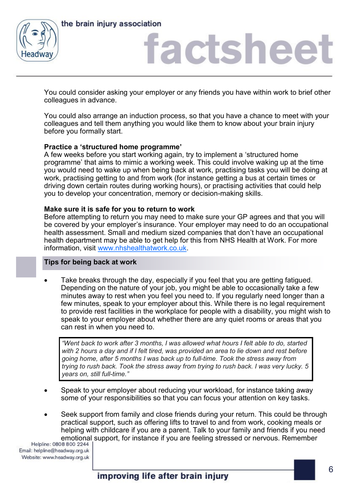

the brain injury association

### factsheet

You could consider asking your employer or any friends you have within work to brief other colleagues in advance.

You could also arrange an induction process, so that you have a chance to meet with your colleagues and tell them anything you would like them to know about your brain injury before you formally start.

### **Practice a 'structured home programme'**

A few weeks before you start working again, try to implement a 'structured home programme' that aims to mimic a working week. This could involve waking up at the time you would need to wake up when being back at work, practising tasks you will be doing at work, practising getting to and from work (for instance getting a bus at certain times or driving down certain routes during working hours), or practising activities that could help you to develop your concentration, memory or decision-making skills.

### **Make sure it is safe for you to return to work**

Before attempting to return you may need to make sure your GP agrees and that you will be covered by your employer's insurance. Your employer may need to do an occupational health assessment. Small and medium sized companies that don't have an occupational health department may be able to get help for this from NHS Health at Work. For more information, visit [www.nhshealthatwork.co.uk.](http://www.nhshealthatwork.co.uk)

### **Tips for being back at work**

Take breaks through the day, especially if you feel that you are getting fatigued. Depending on the nature of your job, you might be able to occasionally take a few minutes away to rest when you feel you need to. If you regularly need longer than a few minutes, speak to your employer about this. While there is no legal requirement to provide rest facilities in the workplace for people with a disability, you might wish to speak to your employer about whether there are any quiet rooms or areas that you can rest in when you need to.

*"Went back to work after 3 months, I was allowed what hours I felt able to do, started with 2 hours a day and if I felt tired, was provided an area to lie down and rest before going home, after 5 months I was back up to full-time. Took the stress away from trying to rush back. Took the stress away from trying to rush back. I was very lucky. 5 years on, still full-time."*

- Speak to your employer about reducing your workload, for instance taking away some of your responsibilities so that you can focus your attention on key tasks.
- Seek support from family and close friends during your return. This could be through practical support, such as offering lifts to travel to and from work, cooking meals or helping with childcare if you are a parent. Talk to your family and friends if you need emotional support, for instance if you are feeling stressed or nervous. Remember<br>Helpline: 0808 800 2244 |

Email: helpline@headway.org.uk Website: www.headway.org.uk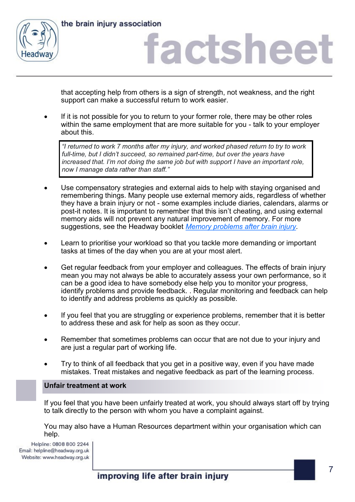



that accepting help from others is a sign of strength, not weakness, and the right support can make a successful return to work easier.

• If it is not possible for you to return to your former role, there may be other roles within the same employment that are more suitable for you - talk to your employer about this.

*"I returned to work 7 months after my injury, and worked phased return to try to work full-time, but I didn't succeed, so remained part-time, but over the years have increased that. I'm not doing the same job but with support I have an important role, now I manage data rather than staff."*

- Use compensatory strategies and external aids to help with staying organised and remembering things. Many people use external memory aids, regardless of whether they have a brain injury or not - some examples include diaries, calendars, alarms or post-it notes. It is important to remember that this isn't cheating, and using external memory aids will not prevent any natural improvement of memory. For more suggestions, see the Headway booklet *[Memory problems after brain injury.](https://www.headway.org.uk/media/3996/memory-problems-after-brain-injury-e-booklet.pdf)*
- Learn to prioritise your workload so that you tackle more demanding or important tasks at times of the day when you are at your most alert.
- Get regular feedback from your employer and colleagues. The effects of brain injury mean you may not always be able to accurately assess your own performance, so it can be a good idea to have somebody else help you to monitor your progress, identify problems and provide feedback. . Regular monitoring and feedback can help to identify and address problems as quickly as possible.
- If you feel that you are struggling or experience problems, remember that it is better to address these and ask for help as soon as they occur.
- Remember that sometimes problems can occur that are not due to your injury and are just a regular part of working life.
- Try to think of all feedback that you get in a positive way, even if you have made mistakes. Treat mistakes and negative feedback as part of the learning process.

### **Unfair treatment at work**

If you feel that you have been unfairly treated at work, you should always start off by trying to talk directly to the person with whom you have a complaint against.

You may also have a Human Resources department within your organisation which can help.

Helpline: 0808 800 2244 Email: helpline@headway.org.uk Website: www.headway.org.uk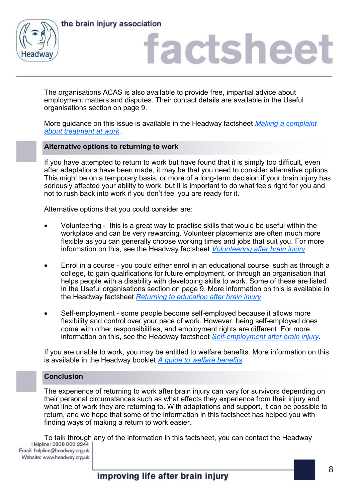



The organisations ACAS is also available to provide free, impartial advice about employment matters and disputes. Their contact details are available in the Useful organisations section on page 9.

More guidance on this issue is available in the Headway factsheet *[Making a complaint](https://www.headway.org.uk/media/4125/making-a-complaint-about-treatment-at-work-factsheet.pdf)  [about treatment at work.](https://www.headway.org.uk/media/4125/making-a-complaint-about-treatment-at-work-factsheet.pdf)*

### **Alternative options to returning to work**

If you have attempted to return to work but have found that it is simply too difficult, even after adaptations have been made, it may be that you need to consider alternative options. This might be on a temporary basis, or more of a long-term decision if your brain injury has seriously affected your ability to work, but it is important to do what feels right for you and not to rush back into work if you don't feel you are ready for it.

Alternative options that you could consider are:

- Volunteering this is a great way to practise skills that would be useful within the workplace and can be very rewarding. Volunteer placements are often much more flexible as you can generally choose working times and jobs that suit you. For more information on this, see the Headway factsheet *[Volunteering after brain injury.](https://www.headway.org.uk/media/4128/voluntary-work-after-brain-injury-factsheet.pdf)*
- Enrol in a course you could either enrol in an educational course, such as through a college, to gain qualifications for future employment, or through an organisation that helps people with a disability with developing skills to work. Some of these are listed in the Useful organisations section on page 9. More information on this is available in the Headway factsheet *[Returning to education after brain injury.](https://www.headway.org.uk/media/4126/returning-to-education-after-brain-injury-factsheet.pdf)*
- Self-employment some people become self-employed because it allows more flexibility and control over your pace of work. However, being self-employed does come with other responsibilities, and employment rights are different. For more information on this, see the Headway factsheet *Self-[employment after brain injury.](https://www.headway.org.uk/media/4127/self-employment-after-brain-injury-factsheet.pdf)*

If you are unable to work, you may be entitled to welfare benefits. More information on this is available in the Headway booklet *[A guide to welfare benefits.](https://www.headway.org.uk/media/3988/a-guide-to-welfare-benefits-after-brain-injury-e-booklet.pdff)* 

### **Conclusion**

The experience of returning to work after brain injury can vary for survivors depending on their personal circumstances such as what effects they experience from their injury and what line of work they are returning to. With adaptations and support, it can be possible to return, and we hope that some of the information in this factsheet has helped you with finding ways of making a return to work easier.

To talk through any of the information in this factsheet, you can contact the Headway<br>Helpline: 0808 800 2244 |

Email: helpline@headway.org.uk Website: www.headway.org.uk